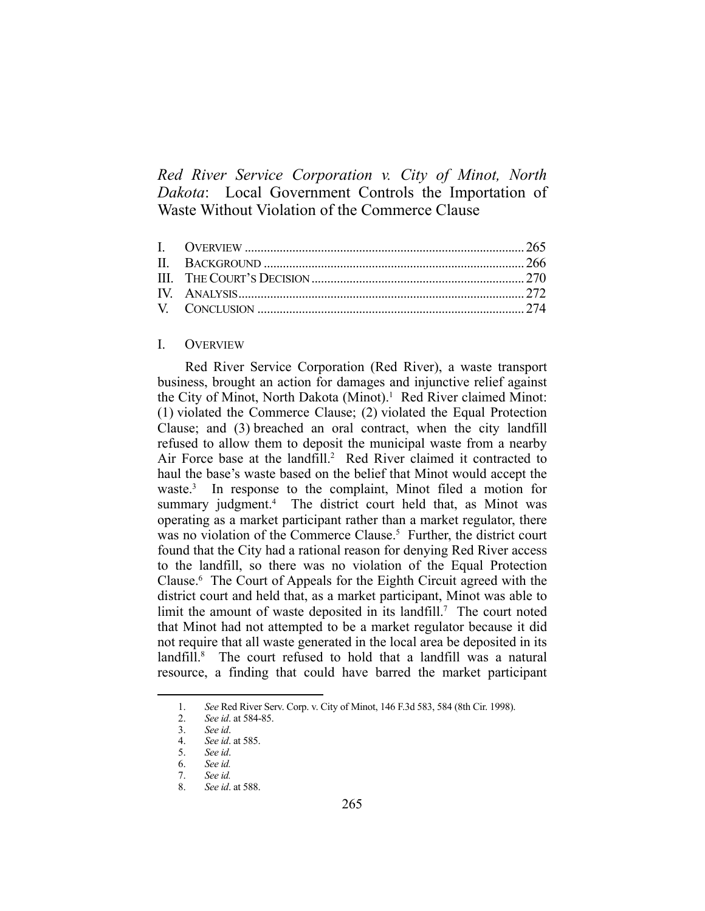*Red River Service Corporation v. City of Minot, North Dakota*: Local Government Controls the Importation of Waste Without Violation of the Commerce Clause

# I. OVERVIEW

 Red River Service Corporation (Red River), a waste transport business, brought an action for damages and injunctive relief against the City of Minot, North Dakota (Minot).<sup>1</sup> Red River claimed Minot: (1) violated the Commerce Clause; (2) violated the Equal Protection Clause; and (3) breached an oral contract, when the city landfill refused to allow them to deposit the municipal waste from a nearby Air Force base at the landfill.<sup>2</sup> Red River claimed it contracted to haul the base's waste based on the belief that Minot would accept the waste.<sup>3</sup> In response to the complaint, Minot filed a motion for summary judgment.<sup>4</sup> The district court held that, as Minot was operating as a market participant rather than a market regulator, there was no violation of the Commerce Clause.<sup>5</sup> Further, the district court found that the City had a rational reason for denying Red River access to the landfill, so there was no violation of the Equal Protection Clause.6 The Court of Appeals for the Eighth Circuit agreed with the district court and held that, as a market participant, Minot was able to limit the amount of waste deposited in its landfill.<sup>7</sup> The court noted that Minot had not attempted to be a market regulator because it did not require that all waste generated in the local area be deposited in its landfill.<sup>8</sup> The court refused to hold that a landfill was a natural resource, a finding that could have barred the market participant

 <sup>1.</sup> *See* Red River Serv. Corp. v. City of Minot, 146 F.3d 583, 584 (8th Cir. 1998).

 <sup>2.</sup> *See id*. at 584-85.

 <sup>3.</sup> *See id*.

 <sup>4.</sup> *See id*. at 585.

 <sup>5.</sup> *See id*.

 <sup>6.</sup> *See id.*

 <sup>7.</sup> *See id.*

 <sup>8.</sup> *See id*. at 588.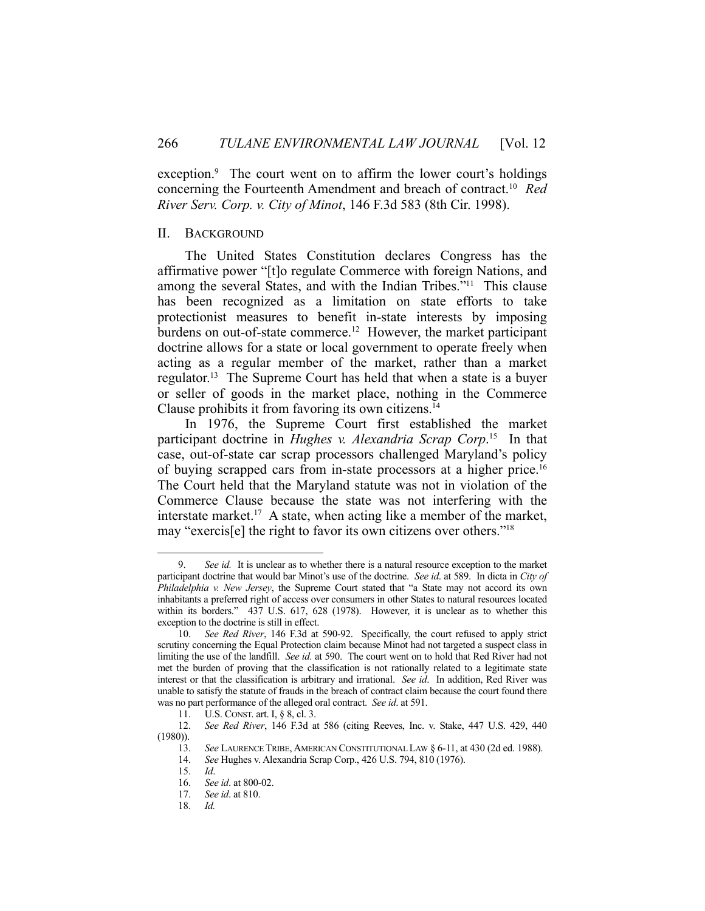exception.<sup>9</sup> The court went on to affirm the lower court's holdings concerning the Fourteenth Amendment and breach of contract.10 *Red River Serv. Corp. v. City of Minot*, 146 F.3d 583 (8th Cir. 1998).

# II. BACKGROUND

 The United States Constitution declares Congress has the affirmative power "[t]o regulate Commerce with foreign Nations, and among the several States, and with the Indian Tribes."11 This clause has been recognized as a limitation on state efforts to take protectionist measures to benefit in-state interests by imposing burdens on out-of-state commerce.12 However, the market participant doctrine allows for a state or local government to operate freely when acting as a regular member of the market, rather than a market regulator.13 The Supreme Court has held that when a state is a buyer or seller of goods in the market place, nothing in the Commerce Clause prohibits it from favoring its own citizens.14

 In 1976, the Supreme Court first established the market participant doctrine in *Hughes v. Alexandria Scrap Corp*. 15 In that case, out-of-state car scrap processors challenged Maryland's policy of buying scrapped cars from in-state processors at a higher price.<sup>16</sup> The Court held that the Maryland statute was not in violation of the Commerce Clause because the state was not interfering with the interstate market.<sup>17</sup> A state, when acting like a member of the market, may "exercis[e] the right to favor its own citizens over others."18

 <sup>9.</sup> *See id.* It is unclear as to whether there is a natural resource exception to the market participant doctrine that would bar Minot's use of the doctrine. *See id*. at 589. In dicta in *City of Philadelphia v. New Jersey*, the Supreme Court stated that "a State may not accord its own inhabitants a preferred right of access over consumers in other States to natural resources located within its borders." 437 U.S. 617, 628 (1978). However, it is unclear as to whether this exception to the doctrine is still in effect.

 <sup>10.</sup> *See Red River*, 146 F.3d at 590-92. Specifically, the court refused to apply strict scrutiny concerning the Equal Protection claim because Minot had not targeted a suspect class in limiting the use of the landfill. *See id.* at 590. The court went on to hold that Red River had not met the burden of proving that the classification is not rationally related to a legitimate state interest or that the classification is arbitrary and irrational. *See id*. In addition, Red River was unable to satisfy the statute of frauds in the breach of contract claim because the court found there was no part performance of the alleged oral contract. *See id*. at 591.

 <sup>11.</sup> U.S. CONST. art. I, § 8, cl. 3.

 <sup>12.</sup> *See Red River*, 146 F.3d at 586 (citing Reeves, Inc. v. Stake, 447 U.S. 429, 440 (1980)).

 <sup>13.</sup> *See* LAURENCE TRIBE, AMERICAN CONSTITUTIONAL LAW § 6-11, at 430 (2d ed. 1988).

 <sup>14.</sup> *See* Hughes v. Alexandria Scrap Corp., 426 U.S. 794, 810 (1976).

 <sup>15.</sup> *Id*.

 <sup>16.</sup> *See id*. at 800-02.

 <sup>17.</sup> *See id*. at 810.

 <sup>18.</sup> *Id.*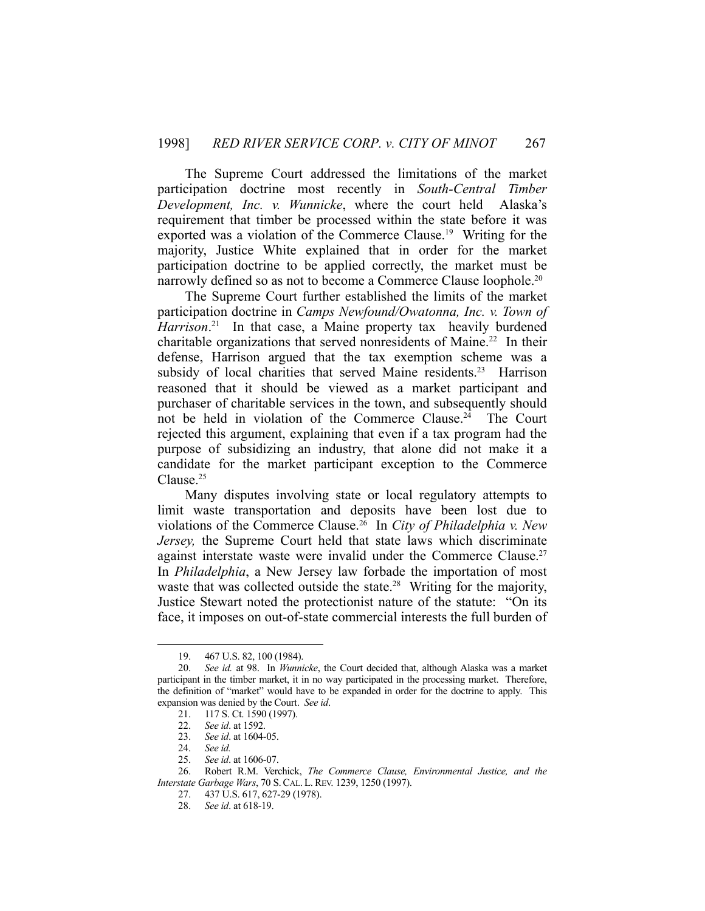The Supreme Court addressed the limitations of the market participation doctrine most recently in *South-Central Timber Development, Inc. v. Wunnicke*, where the court held Alaska's requirement that timber be processed within the state before it was exported was a violation of the Commerce Clause.19 Writing for the majority, Justice White explained that in order for the market participation doctrine to be applied correctly, the market must be narrowly defined so as not to become a Commerce Clause loophole.<sup>20</sup>

 The Supreme Court further established the limits of the market participation doctrine in *Camps Newfound/Owatonna, Inc. v. Town of*  Harrison.<sup>21</sup> In that case, a Maine property tax heavily burdened charitable organizations that served nonresidents of Maine.22 In their defense, Harrison argued that the tax exemption scheme was a subsidy of local charities that served Maine residents.<sup>23</sup> Harrison reasoned that it should be viewed as a market participant and purchaser of charitable services in the town, and subsequently should not be held in violation of the Commerce Clause.<sup>24</sup> The Court rejected this argument, explaining that even if a tax program had the purpose of subsidizing an industry, that alone did not make it a candidate for the market participant exception to the Commerce Clause.25

 Many disputes involving state or local regulatory attempts to limit waste transportation and deposits have been lost due to violations of the Commerce Clause.26 In *City of Philadelphia v. New Jersey,* the Supreme Court held that state laws which discriminate against interstate waste were invalid under the Commerce Clause.<sup>27</sup> In *Philadelphia*, a New Jersey law forbade the importation of most waste that was collected outside the state.<sup>28</sup> Writing for the majority, Justice Stewart noted the protectionist nature of the statute: "On its face, it imposes on out-of-state commercial interests the full burden of

 <sup>19. 467</sup> U.S. 82, 100 (1984).

 <sup>20.</sup> *See id.* at 98. In *Wunnicke*, the Court decided that, although Alaska was a market participant in the timber market, it in no way participated in the processing market. Therefore, the definition of "market" would have to be expanded in order for the doctrine to apply. This expansion was denied by the Court. *See id*.

 <sup>21. 117</sup> S. Ct. 1590 (1997).

 <sup>22.</sup> *See id*. at 1592.

 <sup>23.</sup> *See id*. at 1604-05.

 <sup>24.</sup> *See id.*

 <sup>25.</sup> *See id*. at 1606-07.

 <sup>26.</sup> Robert R.M. Verchick, *The Commerce Clause, Environmental Justice, and the Interstate Garbage Wars*, 70 S.CAL. L. REV. 1239, 1250 (1997).

 <sup>27. 437</sup> U.S. 617, 627-29 (1978).

 <sup>28.</sup> *See id*. at 618-19.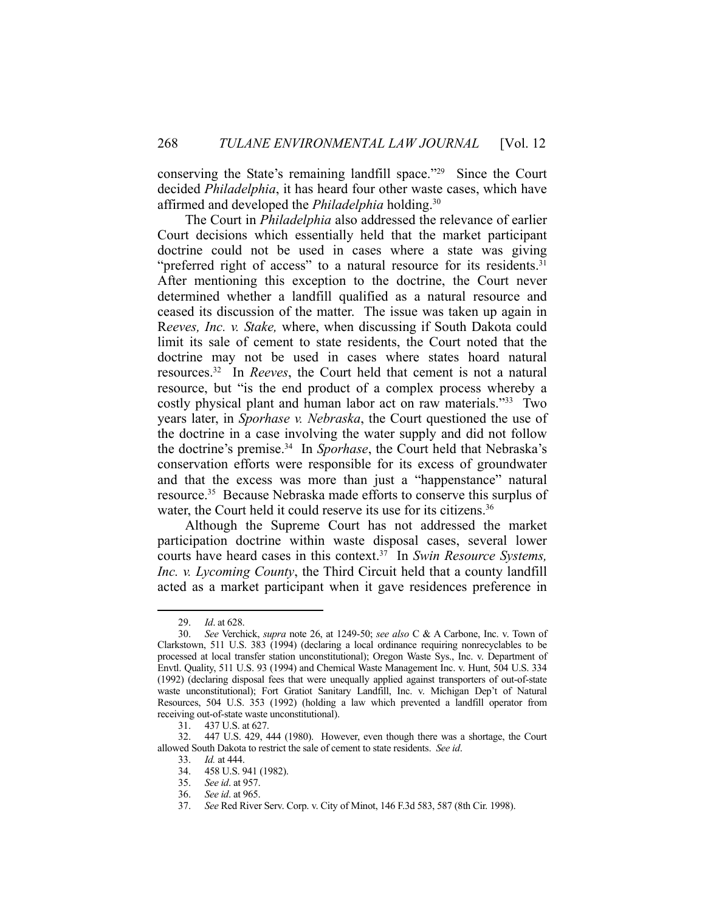conserving the State's remaining landfill space."29 Since the Court decided *Philadelphia*, it has heard four other waste cases, which have affirmed and developed the *Philadelphia* holding.30

 The Court in *Philadelphia* also addressed the relevance of earlier Court decisions which essentially held that the market participant doctrine could not be used in cases where a state was giving "preferred right of access" to a natural resource for its residents.<sup>31</sup> After mentioning this exception to the doctrine, the Court never determined whether a landfill qualified as a natural resource and ceased its discussion of the matter. The issue was taken up again in R*eeves, Inc. v. Stake,* where, when discussing if South Dakota could limit its sale of cement to state residents, the Court noted that the doctrine may not be used in cases where states hoard natural resources.32 In *Reeves*, the Court held that cement is not a natural resource, but "is the end product of a complex process whereby a costly physical plant and human labor act on raw materials."33 Two years later, in *Sporhase v. Nebraska*, the Court questioned the use of the doctrine in a case involving the water supply and did not follow the doctrine's premise.34 In *Sporhase*, the Court held that Nebraska's conservation efforts were responsible for its excess of groundwater and that the excess was more than just a "happenstance" natural resource.35 Because Nebraska made efforts to conserve this surplus of water, the Court held it could reserve its use for its citizens. 36

 Although the Supreme Court has not addressed the market participation doctrine within waste disposal cases, several lower courts have heard cases in this context.37 In *Swin Resource Systems, Inc. v. Lycoming County*, the Third Circuit held that a county landfill acted as a market participant when it gave residences preference in

 <sup>29.</sup> *Id*. at 628.

 <sup>30.</sup> *See* Verchick, *supra* note 26, at 1249-50; *see also* C & A Carbone, Inc. v. Town of Clarkstown, 511 U.S. 383 (1994) (declaring a local ordinance requiring nonrecyclables to be processed at local transfer station unconstitutional); Oregon Waste Sys., Inc. v. Department of Envtl. Quality, 511 U.S. 93 (1994) and Chemical Waste Management Inc. v. Hunt, 504 U.S. 334 (1992) (declaring disposal fees that were unequally applied against transporters of out-of-state waste unconstitutional); Fort Gratiot Sanitary Landfill, Inc. v. Michigan Dep't of Natural Resources, 504 U.S. 353 (1992) (holding a law which prevented a landfill operator from receiving out-of-state waste unconstitutional).

 <sup>31. 437</sup> U.S. at 627.

 <sup>32. 447</sup> U.S. 429, 444 (1980). However, even though there was a shortage, the Court allowed South Dakota to restrict the sale of cement to state residents. *See id*.

 <sup>33.</sup> *Id.* at 444.

 <sup>34. 458</sup> U.S. 941 (1982).

 <sup>35.</sup> *See id*. at 957.

 <sup>36.</sup> *See id*. at 965.

 <sup>37.</sup> *See* Red River Serv. Corp. v. City of Minot, 146 F.3d 583, 587 (8th Cir. 1998).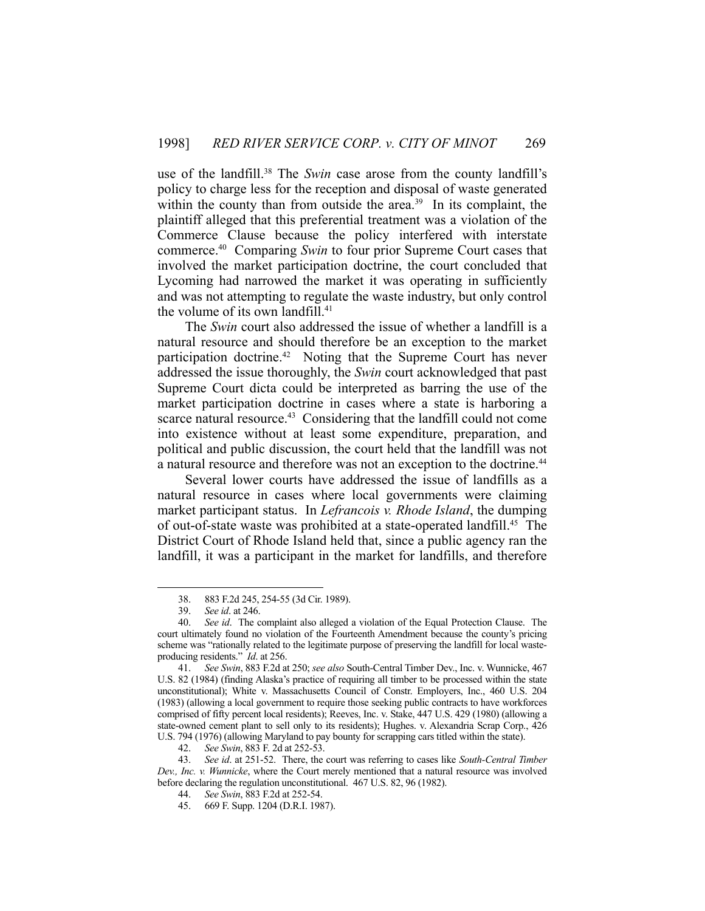use of the landfill.38 The *Swin* case arose from the county landfill's policy to charge less for the reception and disposal of waste generated within the county than from outside the area.<sup>39</sup> In its complaint, the plaintiff alleged that this preferential treatment was a violation of the Commerce Clause because the policy interfered with interstate commerce.40 Comparing *Swin* to four prior Supreme Court cases that involved the market participation doctrine, the court concluded that Lycoming had narrowed the market it was operating in sufficiently and was not attempting to regulate the waste industry, but only control the volume of its own landfill.<sup>41</sup>

 The *Swin* court also addressed the issue of whether a landfill is a natural resource and should therefore be an exception to the market participation doctrine.<sup>42</sup> Noting that the Supreme Court has never addressed the issue thoroughly, the *Swin* court acknowledged that past Supreme Court dicta could be interpreted as barring the use of the market participation doctrine in cases where a state is harboring a scarce natural resource.<sup>43</sup> Considering that the landfill could not come into existence without at least some expenditure, preparation, and political and public discussion, the court held that the landfill was not a natural resource and therefore was not an exception to the doctrine.<sup>44</sup>

 Several lower courts have addressed the issue of landfills as a natural resource in cases where local governments were claiming market participant status. In *Lefrancois v. Rhode Island*, the dumping of out-of-state waste was prohibited at a state-operated landfill.<sup>45</sup> The District Court of Rhode Island held that, since a public agency ran the landfill, it was a participant in the market for landfills, and therefore

 <sup>38. 883</sup> F.2d 245, 254-55 (3d Cir. 1989).

 <sup>39.</sup> *See id*. at 246.

 <sup>40.</sup> *See id*. The complaint also alleged a violation of the Equal Protection Clause. The court ultimately found no violation of the Fourteenth Amendment because the county's pricing scheme was "rationally related to the legitimate purpose of preserving the landfill for local wasteproducing residents." *Id*. at 256.

 <sup>41.</sup> *See Swin*, 883 F.2d at 250; *see also* South-Central Timber Dev., Inc. v. Wunnicke, 467 U.S. 82 (1984) (finding Alaska's practice of requiring all timber to be processed within the state unconstitutional); White v. Massachusetts Council of Constr. Employers, Inc., 460 U.S. 204 (1983) (allowing a local government to require those seeking public contracts to have workforces comprised of fifty percent local residents); Reeves, Inc. v. Stake, 447 U.S. 429 (1980) (allowing a state-owned cement plant to sell only to its residents); Hughes. v. Alexandria Scrap Corp., 426 U.S. 794 (1976) (allowing Maryland to pay bounty for scrapping cars titled within the state).

 <sup>42.</sup> *See Swin*, 883 F. 2d at 252-53.

 <sup>43.</sup> *See id*. at 251-52. There, the court was referring to cases like *South-Central Timber Dev., Inc. v. Wunnicke*, where the Court merely mentioned that a natural resource was involved before declaring the regulation unconstitutional. 467 U.S. 82, 96 (1982).

 <sup>44.</sup> *See Swin*, 883 F.2d at 252-54.

 <sup>45. 669</sup> F. Supp. 1204 (D.R.I. 1987).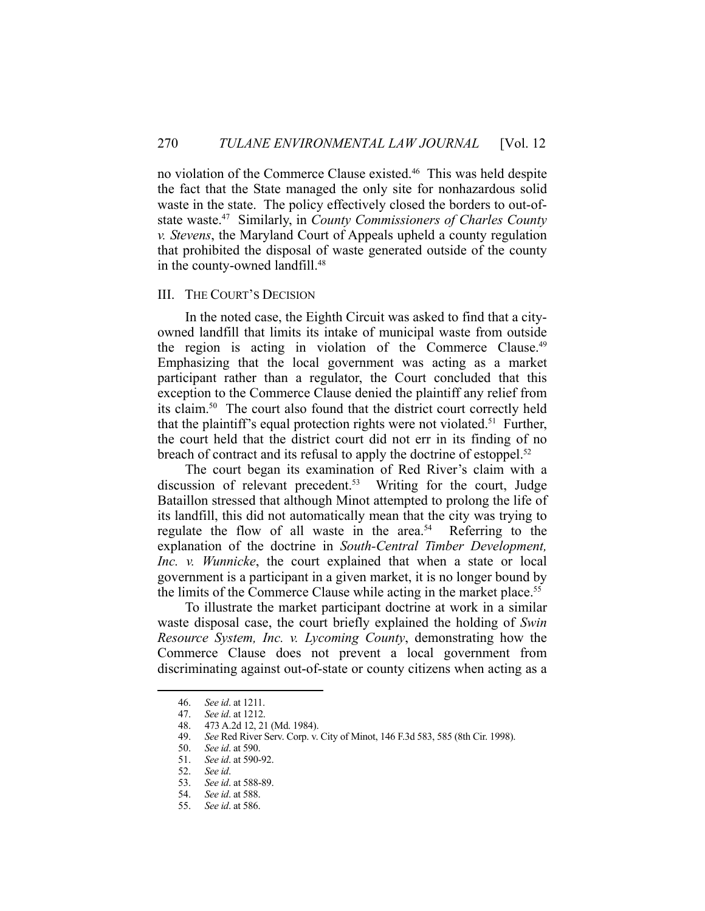no violation of the Commerce Clause existed.<sup>46</sup> This was held despite the fact that the State managed the only site for nonhazardous solid waste in the state. The policy effectively closed the borders to out-ofstate waste.47 Similarly, in *County Commissioners of Charles County v. Stevens*, the Maryland Court of Appeals upheld a county regulation that prohibited the disposal of waste generated outside of the county in the county-owned landfill.<sup>48</sup>

### III. THE COURT'S DECISION

 In the noted case, the Eighth Circuit was asked to find that a cityowned landfill that limits its intake of municipal waste from outside the region is acting in violation of the Commerce Clause.<sup>49</sup> Emphasizing that the local government was acting as a market participant rather than a regulator, the Court concluded that this exception to the Commerce Clause denied the plaintiff any relief from its claim.50 The court also found that the district court correctly held that the plaintiff's equal protection rights were not violated.<sup>51</sup> Further, the court held that the district court did not err in its finding of no breach of contract and its refusal to apply the doctrine of estoppel.<sup>52</sup>

 The court began its examination of Red River's claim with a discussion of relevant precedent.<sup>53</sup> Writing for the court, Judge Bataillon stressed that although Minot attempted to prolong the life of its landfill, this did not automatically mean that the city was trying to regulate the flow of all waste in the area.<sup>54</sup> Referring to the explanation of the doctrine in *South-Central Timber Development, Inc. v. Wunnicke*, the court explained that when a state or local government is a participant in a given market, it is no longer bound by the limits of the Commerce Clause while acting in the market place.<sup>55</sup>

 To illustrate the market participant doctrine at work in a similar waste disposal case, the court briefly explained the holding of *Swin Resource System, Inc. v. Lycoming County*, demonstrating how the Commerce Clause does not prevent a local government from discriminating against out-of-state or county citizens when acting as a

 <sup>46.</sup> *See id*. at 1211.

 <sup>47.</sup> *See id*. at 1212.

 <sup>48. 473</sup> A.2d 12, 21 (Md. 1984).

 <sup>49.</sup> *See* Red River Serv. Corp. v. City of Minot, 146 F.3d 583, 585 (8th Cir. 1998).

 <sup>50.</sup> *See id*. at 590.

 <sup>51.</sup> *See id*. at 590-92.

 <sup>52.</sup> *See id*.

 <sup>53.</sup> *See id*. at 588-89.

 <sup>54.</sup> *See id*. at 588.

 <sup>55.</sup> *See id*. at 586.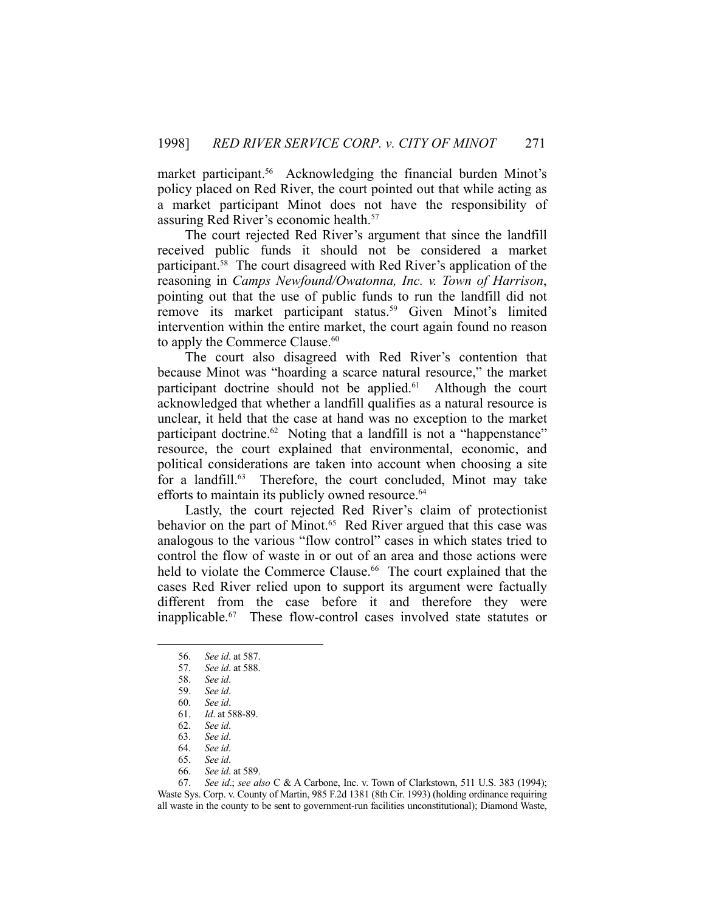market participant.<sup>56</sup> Acknowledging the financial burden Minot's policy placed on Red River, the court pointed out that while acting as a market participant Minot does not have the responsibility of assuring Red River's economic health.57

 The court rejected Red River's argument that since the landfill received public funds it should not be considered a market participant.58 The court disagreed with Red River's application of the reasoning in *Camps Newfound/Owatonna, Inc. v. Town of Harrison*, pointing out that the use of public funds to run the landfill did not remove its market participant status.<sup>59</sup> Given Minot's limited intervention within the entire market, the court again found no reason to apply the Commerce Clause.<sup>60</sup>

 The court also disagreed with Red River's contention that because Minot was "hoarding a scarce natural resource," the market participant doctrine should not be applied. $61$  Although the court acknowledged that whether a landfill qualifies as a natural resource is unclear, it held that the case at hand was no exception to the market participant doctrine.<sup>62</sup> Noting that a landfill is not a "happenstance" resource, the court explained that environmental, economic, and political considerations are taken into account when choosing a site for a landfill.<sup>63</sup> Therefore, the court concluded, Minot may take efforts to maintain its publicly owned resource.<sup>64</sup>

 Lastly, the court rejected Red River's claim of protectionist behavior on the part of Minot.<sup>65</sup> Red River argued that this case was analogous to the various "flow control" cases in which states tried to control the flow of waste in or out of an area and those actions were held to violate the Commerce Clause.<sup>66</sup> The court explained that the cases Red River relied upon to support its argument were factually different from the case before it and therefore they were inapplicable.67 These flow-control cases involved state statutes or

 <sup>56.</sup> *See id*. at 587.

 <sup>57.</sup> *See id*. at 588.

 <sup>58.</sup> *See id*.

 <sup>59.</sup> *See id*.

 <sup>60.</sup> *See id*.

 <sup>61.</sup> *Id*. at 588-89.

 <sup>62.</sup> *See id*.

 <sup>63.</sup> *See id*.

 <sup>64.</sup> *See id*. 65. *See id*.

 <sup>66.</sup> *See id*. at 589.

 <sup>67.</sup> *See id*.; *see also* C & A Carbone, Inc. v. Town of Clarkstown, 511 U.S. 383 (1994); Waste Sys. Corp. v. County of Martin, 985 F.2d 1381 (8th Cir. 1993) (holding ordinance requiring all waste in the county to be sent to government-run facilities unconstitutional); Diamond Waste,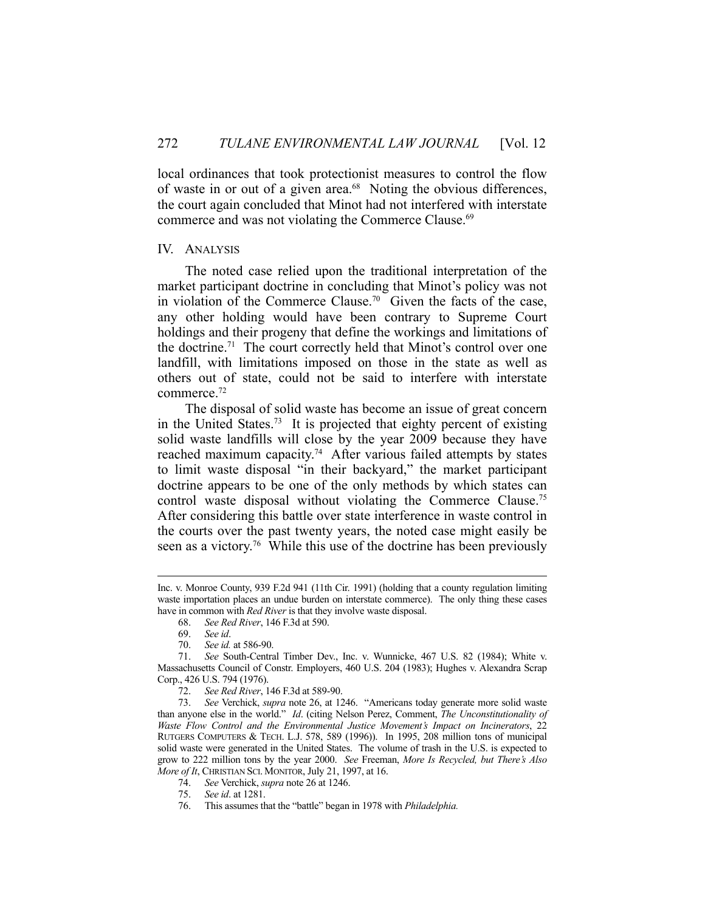local ordinances that took protectionist measures to control the flow of waste in or out of a given area.<sup>68</sup> Noting the obvious differences, the court again concluded that Minot had not interfered with interstate commerce and was not violating the Commerce Clause.<sup>69</sup>

### IV. ANALYSIS

 The noted case relied upon the traditional interpretation of the market participant doctrine in concluding that Minot's policy was not in violation of the Commerce Clause.<sup>70</sup> Given the facts of the case, any other holding would have been contrary to Supreme Court holdings and their progeny that define the workings and limitations of the doctrine.<sup>71</sup> The court correctly held that Minot's control over one landfill, with limitations imposed on those in the state as well as others out of state, could not be said to interfere with interstate commerce.72

 The disposal of solid waste has become an issue of great concern in the United States.73 It is projected that eighty percent of existing solid waste landfills will close by the year 2009 because they have reached maximum capacity.<sup>74</sup> After various failed attempts by states to limit waste disposal "in their backyard," the market participant doctrine appears to be one of the only methods by which states can control waste disposal without violating the Commerce Clause.<sup>75</sup> After considering this battle over state interference in waste control in the courts over the past twenty years, the noted case might easily be seen as a victory.<sup>76</sup> While this use of the doctrine has been previously

Inc. v. Monroe County, 939 F.2d 941 (11th Cir. 1991) (holding that a county regulation limiting waste importation places an undue burden on interstate commerce). The only thing these cases have in common with *Red River* is that they involve waste disposal.

 <sup>68.</sup> *See Red River*, 146 F.3d at 590.

 <sup>69.</sup> *See id*.

 <sup>70.</sup> *See id.* at 586-90.

 <sup>71.</sup> *See* South-Central Timber Dev., Inc. v. Wunnicke, 467 U.S. 82 (1984); White v. Massachusetts Council of Constr. Employers, 460 U.S. 204 (1983); Hughes v. Alexandra Scrap Corp., 426 U.S. 794 (1976).

 <sup>72.</sup> *See Red River*, 146 F.3d at 589-90.

 <sup>73.</sup> *See* Verchick, *supra* note 26, at 1246. "Americans today generate more solid waste than anyone else in the world." *Id*. (citing Nelson Perez, Comment, *The Unconstitutionality of Waste Flow Control and the Environmental Justice Movement's Impact on Incinerators*, 22 RUTGERS COMPUTERS & TECH. L.J. 578, 589 (1996)). In 1995, 208 million tons of municipal solid waste were generated in the United States. The volume of trash in the U.S. is expected to grow to 222 million tons by the year 2000. *See* Freeman, *More Is Recycled, but There's Also More of It*, CHRISTIAN SCI. MONITOR, July 21, 1997, at 16.

 <sup>74.</sup> *See* Verchick, *supra* note 26 at 1246.

 <sup>75.</sup> *See id*. at 1281.

 <sup>76.</sup> This assumes that the "battle" began in 1978 with *Philadelphia.*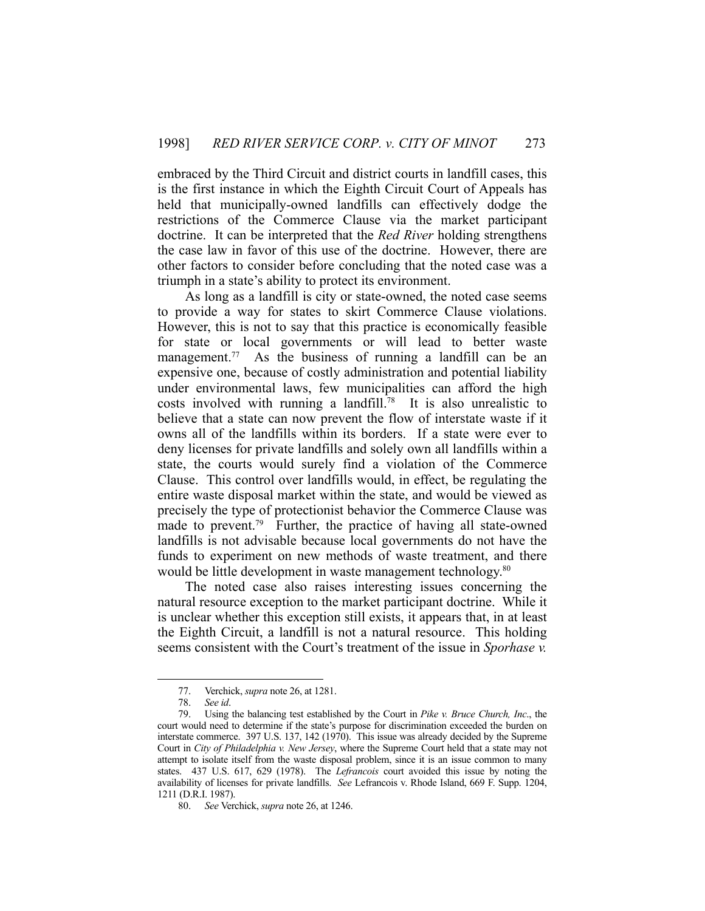embraced by the Third Circuit and district courts in landfill cases, this is the first instance in which the Eighth Circuit Court of Appeals has held that municipally-owned landfills can effectively dodge the restrictions of the Commerce Clause via the market participant doctrine. It can be interpreted that the *Red River* holding strengthens the case law in favor of this use of the doctrine. However, there are other factors to consider before concluding that the noted case was a triumph in a state's ability to protect its environment.

 As long as a landfill is city or state-owned, the noted case seems to provide a way for states to skirt Commerce Clause violations. However, this is not to say that this practice is economically feasible for state or local governments or will lead to better waste management.<sup>77</sup> As the business of running a landfill can be an expensive one, because of costly administration and potential liability under environmental laws, few municipalities can afford the high costs involved with running a landfill.<sup>78</sup> It is also unrealistic to believe that a state can now prevent the flow of interstate waste if it owns all of the landfills within its borders. If a state were ever to deny licenses for private landfills and solely own all landfills within a state, the courts would surely find a violation of the Commerce Clause. This control over landfills would, in effect, be regulating the entire waste disposal market within the state, and would be viewed as precisely the type of protectionist behavior the Commerce Clause was made to prevent.<sup>79</sup> Further, the practice of having all state-owned landfills is not advisable because local governments do not have the funds to experiment on new methods of waste treatment, and there would be little development in waste management technology.<sup>80</sup>

 The noted case also raises interesting issues concerning the natural resource exception to the market participant doctrine. While it is unclear whether this exception still exists, it appears that, in at least the Eighth Circuit, a landfill is not a natural resource. This holding seems consistent with the Court's treatment of the issue in *Sporhase v.* 

<u>.</u>

 <sup>77.</sup> Verchick, *supra* note 26, at 1281.

See id.

 <sup>79.</sup> Using the balancing test established by the Court in *Pike v. Bruce Church, Inc*., the court would need to determine if the state's purpose for discrimination exceeded the burden on interstate commerce. 397 U.S. 137, 142 (1970). This issue was already decided by the Supreme Court in *City of Philadelphia v. New Jersey*, where the Supreme Court held that a state may not attempt to isolate itself from the waste disposal problem, since it is an issue common to many states. 437 U.S. 617, 629 (1978). The *Lefrancois* court avoided this issue by noting the availability of licenses for private landfills. *See* Lefrancois v. Rhode Island, 669 F. Supp. 1204, 1211 (D.R.I. 1987).

 <sup>80.</sup> *See* Verchick, *supra* note 26, at 1246.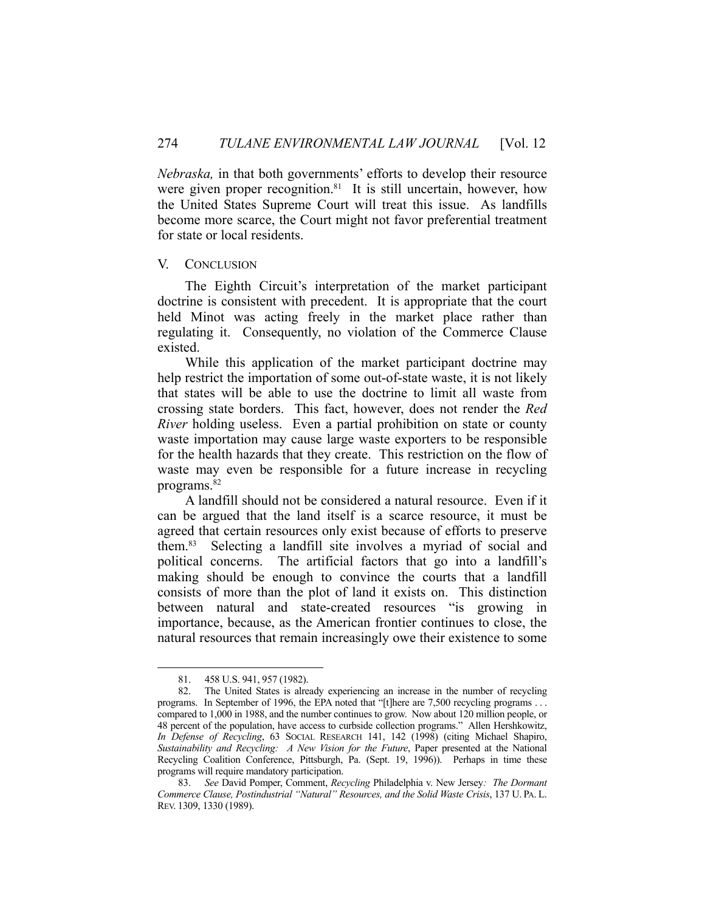*Nebraska,* in that both governments' efforts to develop their resource were given proper recognition.<sup>81</sup> It is still uncertain, however, how the United States Supreme Court will treat this issue. As landfills become more scarce, the Court might not favor preferential treatment for state or local residents.

### V. CONCLUSION

 The Eighth Circuit's interpretation of the market participant doctrine is consistent with precedent. It is appropriate that the court held Minot was acting freely in the market place rather than regulating it. Consequently, no violation of the Commerce Clause existed.

 While this application of the market participant doctrine may help restrict the importation of some out-of-state waste, it is not likely that states will be able to use the doctrine to limit all waste from crossing state borders. This fact, however, does not render the *Red River* holding useless. Even a partial prohibition on state or county waste importation may cause large waste exporters to be responsible for the health hazards that they create. This restriction on the flow of waste may even be responsible for a future increase in recycling programs.82

 A landfill should not be considered a natural resource. Even if it can be argued that the land itself is a scarce resource, it must be agreed that certain resources only exist because of efforts to preserve them.83 Selecting a landfill site involves a myriad of social and political concerns. The artificial factors that go into a landfill's making should be enough to convince the courts that a landfill consists of more than the plot of land it exists on. This distinction between natural and state-created resources "is growing in importance, because, as the American frontier continues to close, the natural resources that remain increasingly owe their existence to some

 <sup>81. 458</sup> U.S. 941, 957 (1982).

 <sup>82.</sup> The United States is already experiencing an increase in the number of recycling programs. In September of 1996, the EPA noted that "[t]here are 7,500 recycling programs . . . compared to 1,000 in 1988, and the number continues to grow. Now about 120 million people, or 48 percent of the population, have access to curbside collection programs." Allen Hershkowitz, *In Defense of Recycling*, 63 SOCIAL RESEARCH 141, 142 (1998) (citing Michael Shapiro, *Sustainability and Recycling: A New Vision for the Future*, Paper presented at the National Recycling Coalition Conference, Pittsburgh, Pa. (Sept. 19, 1996)). Perhaps in time these programs will require mandatory participation.

 <sup>83.</sup> *See* David Pomper, Comment, *Recycling* Philadelphia v. New Jersey*: The Dormant Commerce Clause, Postindustrial "Natural" Resources, and the Solid Waste Crisis*, 137 U. PA. L. REV. 1309, 1330 (1989).